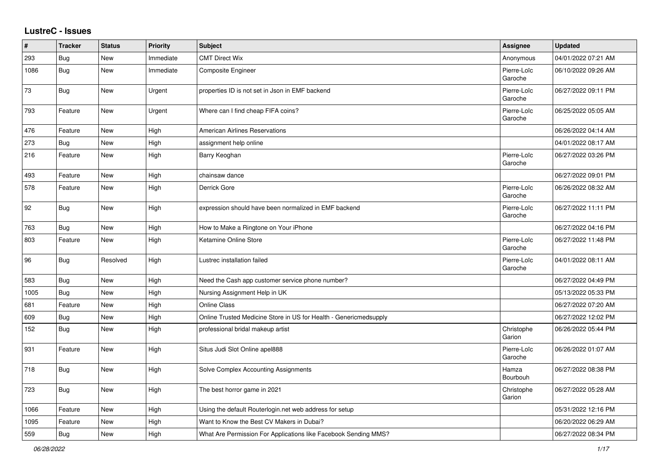## **LustreC - Issues**

| #    | <b>Tracker</b> | <b>Status</b> | <b>Priority</b> | <b>Subject</b>                                                    | Assignee               | <b>Updated</b>      |
|------|----------------|---------------|-----------------|-------------------------------------------------------------------|------------------------|---------------------|
| 293  | <b>Bug</b>     | <b>New</b>    | Immediate       | <b>CMT Direct Wix</b>                                             | Anonymous              | 04/01/2022 07:21 AM |
| 1086 | Bug            | New           | Immediate       | <b>Composite Engineer</b>                                         | Pierre-Loïc<br>Garoche | 06/10/2022 09:26 AM |
| 73   | Bug            | New           | Urgent          | properties ID is not set in Json in EMF backend                   | Pierre-Loïc<br>Garoche | 06/27/2022 09:11 PM |
| 793  | Feature        | New           | Urgent          | Where can I find cheap FIFA coins?                                | Pierre-Loïc<br>Garoche | 06/25/2022 05:05 AM |
| 476  | Feature        | New           | High            | <b>American Airlines Reservations</b>                             |                        | 06/26/2022 04:14 AM |
| 273  | Bug            | New           | High            | assignment help online                                            |                        | 04/01/2022 08:17 AM |
| 216  | Feature        | New           | High            | Barry Keoghan                                                     | Pierre-Loïc<br>Garoche | 06/27/2022 03:26 PM |
| 493  | Feature        | <b>New</b>    | High            | chainsaw dance                                                    |                        | 06/27/2022 09:01 PM |
| 578  | Feature        | <b>New</b>    | High            | Derrick Gore                                                      | Pierre-Loïc<br>Garoche | 06/26/2022 08:32 AM |
| 92   | <b>Bug</b>     | New           | High            | expression should have been normalized in EMF backend             | Pierre-Loïc<br>Garoche | 06/27/2022 11:11 PM |
| 763  | Bug            | New           | High            | How to Make a Ringtone on Your iPhone                             |                        | 06/27/2022 04:16 PM |
| 803  | Feature        | New           | High            | Ketamine Online Store                                             | Pierre-Loïc<br>Garoche | 06/27/2022 11:48 PM |
| 96   | Bug            | Resolved      | High            | Lustrec installation failed                                       | Pierre-Loïc<br>Garoche | 04/01/2022 08:11 AM |
| 583  | Bug            | New           | High            | Need the Cash app customer service phone number?                  |                        | 06/27/2022 04:49 PM |
| 1005 | Bug            | New           | High            | Nursing Assignment Help in UK                                     |                        | 05/13/2022 05:33 PM |
| 681  | Feature        | <b>New</b>    | High            | Online Class                                                      |                        | 06/27/2022 07:20 AM |
| 609  | Bug            | New           | High            | Online Trusted Medicine Store in US for Health - Genericmedsupply |                        | 06/27/2022 12:02 PM |
| 152  | Bug            | New           | High            | professional bridal makeup artist                                 | Christophe<br>Garion   | 06/26/2022 05:44 PM |
| 931  | Feature        | New           | High            | Situs Judi Slot Online apel888                                    | Pierre-Loïc<br>Garoche | 06/26/2022 01:07 AM |
| 718  | <b>Bug</b>     | New           | High            | Solve Complex Accounting Assignments                              | Hamza<br>Bourbouh      | 06/27/2022 08:38 PM |
| 723  | <b>Bug</b>     | New           | High            | The best horror game in 2021                                      | Christophe<br>Garion   | 06/27/2022 05:28 AM |
| 1066 | Feature        | New           | High            | Using the default Routerlogin.net web address for setup           |                        | 05/31/2022 12:16 PM |
| 1095 | Feature        | New           | High            | Want to Know the Best CV Makers in Dubai?                         |                        | 06/20/2022 06:29 AM |
| 559  | Bug            | New           | High            | What Are Permission For Applications like Facebook Sending MMS?   |                        | 06/27/2022 08:34 PM |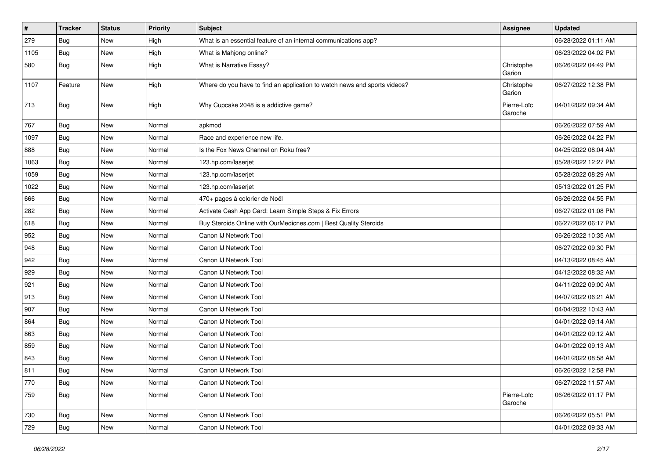| $\pmb{\#}$ | <b>Tracker</b> | <b>Status</b> | <b>Priority</b> | <b>Subject</b>                                                            | <b>Assignee</b>        | <b>Updated</b>      |
|------------|----------------|---------------|-----------------|---------------------------------------------------------------------------|------------------------|---------------------|
| 279        | Bug            | New           | High            | What is an essential feature of an internal communications app?           |                        | 06/28/2022 01:11 AM |
| 1105       | Bug            | New           | High            | What is Mahjong online?                                                   |                        | 06/23/2022 04:02 PM |
| 580        | Bug            | New           | High            | What is Narrative Essay?                                                  | Christophe<br>Garion   | 06/26/2022 04:49 PM |
| 1107       | Feature        | New           | High            | Where do you have to find an application to watch news and sports videos? | Christophe<br>Garion   | 06/27/2022 12:38 PM |
| 713        | Bug            | New           | High            | Why Cupcake 2048 is a addictive game?                                     | Pierre-Loïc<br>Garoche | 04/01/2022 09:34 AM |
| 767        | Bug            | New           | Normal          | apkmod                                                                    |                        | 06/26/2022 07:59 AM |
| 1097       | <b>Bug</b>     | New           | Normal          | Race and experience new life.                                             |                        | 06/26/2022 04:22 PM |
| 888        | Bug            | New           | Normal          | Is the Fox News Channel on Roku free?                                     |                        | 04/25/2022 08:04 AM |
| 1063       | <b>Bug</b>     | New           | Normal          | 123.hp.com/laserjet                                                       |                        | 05/28/2022 12:27 PM |
| 1059       | Bug            | New           | Normal          | 123.hp.com/laserjet                                                       |                        | 05/28/2022 08:29 AM |
| 1022       | <b>Bug</b>     | New           | Normal          | 123.hp.com/laserjet                                                       |                        | 05/13/2022 01:25 PM |
| 666        | Bug            | New           | Normal          | 470+ pages à colorier de Noël                                             |                        | 06/26/2022 04:55 PM |
| 282        | <b>Bug</b>     | New           | Normal          | Activate Cash App Card: Learn Simple Steps & Fix Errors                   |                        | 06/27/2022 01:08 PM |
| 618        | <b>Bug</b>     | New           | Normal          | Buy Steroids Online with OurMedicnes.com   Best Quality Steroids          |                        | 06/27/2022 06:17 PM |
| 952        | Bug            | New           | Normal          | Canon IJ Network Tool                                                     |                        | 06/26/2022 10:35 AM |
| 948        | <b>Bug</b>     | New           | Normal          | Canon IJ Network Tool                                                     |                        | 06/27/2022 09:30 PM |
| 942        | <b>Bug</b>     | New           | Normal          | Canon IJ Network Tool                                                     |                        | 04/13/2022 08:45 AM |
| 929        | Bug            | New           | Normal          | Canon IJ Network Tool                                                     |                        | 04/12/2022 08:32 AM |
| 921        | <b>Bug</b>     | New           | Normal          | Canon IJ Network Tool                                                     |                        | 04/11/2022 09:00 AM |
| 913        | Bug            | New           | Normal          | Canon IJ Network Tool                                                     |                        | 04/07/2022 06:21 AM |
| 907        | Bug            | New           | Normal          | Canon IJ Network Tool                                                     |                        | 04/04/2022 10:43 AM |
| 864        | Bug            | New           | Normal          | Canon IJ Network Tool                                                     |                        | 04/01/2022 09:14 AM |
| 863        | Bug            | New           | Normal          | Canon IJ Network Tool                                                     |                        | 04/01/2022 09:12 AM |
| 859        | <b>Bug</b>     | New           | Normal          | Canon IJ Network Tool                                                     |                        | 04/01/2022 09:13 AM |
| 843        | <b>Bug</b>     | New           | Normal          | Canon IJ Network Tool                                                     |                        | 04/01/2022 08:58 AM |
| 811        | Bug            | New           | Normal          | Canon IJ Network Tool                                                     |                        | 06/26/2022 12:58 PM |
| 770        | Bug            | New           | Normal          | Canon IJ Network Tool                                                     |                        | 06/27/2022 11:57 AM |
| 759        | Bug            | New           | Normal          | Canon IJ Network Tool                                                     | Pierre-Loïc<br>Garoche | 06/26/2022 01:17 PM |
| 730        | Bug            | New           | Normal          | Canon IJ Network Tool                                                     |                        | 06/26/2022 05:51 PM |
| 729        | <b>Bug</b>     | New           | Normal          | Canon IJ Network Tool                                                     |                        | 04/01/2022 09:33 AM |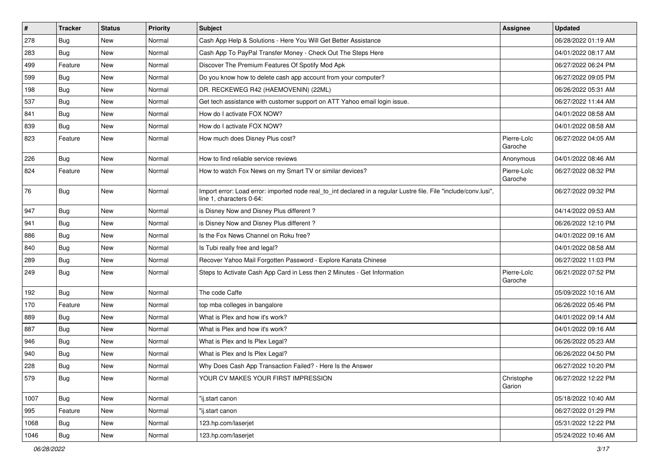| $\vert$ # | <b>Tracker</b> | <b>Status</b> | <b>Priority</b> | <b>Subject</b>                                                                                                                               | Assignee               | <b>Updated</b>      |
|-----------|----------------|---------------|-----------------|----------------------------------------------------------------------------------------------------------------------------------------------|------------------------|---------------------|
| 278       | <b>Bug</b>     | New           | Normal          | Cash App Help & Solutions - Here You Will Get Better Assistance                                                                              |                        | 06/28/2022 01:19 AM |
| 283       | <b>Bug</b>     | <b>New</b>    | Normal          | Cash App To PayPal Transfer Money - Check Out The Steps Here                                                                                 |                        | 04/01/2022 08:17 AM |
| 499       | Feature        | New           | Normal          | Discover The Premium Features Of Spotify Mod Apk                                                                                             |                        | 06/27/2022 06:24 PM |
| 599       | <b>Bug</b>     | New           | Normal          | Do you know how to delete cash app account from your computer?                                                                               |                        | 06/27/2022 09:05 PM |
| 198       | Bug            | New           | Normal          | DR. RECKEWEG R42 (HAEMOVENIN) (22ML)                                                                                                         |                        | 06/26/2022 05:31 AM |
| 537       | <b>Bug</b>     | New           | Normal          | Get tech assistance with customer support on ATT Yahoo email login issue.                                                                    |                        | 06/27/2022 11:44 AM |
| 841       | Bug            | New           | Normal          | How do I activate FOX NOW?                                                                                                                   |                        | 04/01/2022 08:58 AM |
| 839       | <b>Bug</b>     | New           | Normal          | How do I activate FOX NOW?                                                                                                                   |                        | 04/01/2022 08:58 AM |
| 823       | Feature        | New           | Normal          | How much does Disney Plus cost?                                                                                                              | Pierre-Loïc<br>Garoche | 06/27/2022 04:05 AM |
| 226       | Bug            | New           | Normal          | How to find reliable service reviews                                                                                                         | Anonymous              | 04/01/2022 08:46 AM |
| 824       | Feature        | New           | Normal          | How to watch Fox News on my Smart TV or similar devices?                                                                                     | Pierre-Loïc<br>Garoche | 06/27/2022 08:32 PM |
| 76        | Bug            | New           | Normal          | Import error: Load error: imported node real_to_int declared in a regular Lustre file. File "include/conv.lusi",<br>line 1, characters 0-64: |                        | 06/27/2022 09:32 PM |
| 947       | Bug            | New           | Normal          | is Disney Now and Disney Plus different?                                                                                                     |                        | 04/14/2022 09:53 AM |
| 941       | Bug            | New           | Normal          | is Disney Now and Disney Plus different?                                                                                                     |                        | 06/26/2022 12:10 PM |
| 886       | Bug            | New           | Normal          | Is the Fox News Channel on Roku free?                                                                                                        |                        | 04/01/2022 09:16 AM |
| 840       | Bug            | New           | Normal          | Is Tubi really free and legal?                                                                                                               |                        | 04/01/2022 08:58 AM |
| 289       | <b>Bug</b>     | <b>New</b>    | Normal          | Recover Yahoo Mail Forgotten Password - Explore Kanata Chinese                                                                               |                        | 06/27/2022 11:03 PM |
| 249       | Bug            | New           | Normal          | Steps to Activate Cash App Card in Less then 2 Minutes - Get Information                                                                     | Pierre-Loïc<br>Garoche | 06/21/2022 07:52 PM |
| 192       | Bug            | New           | Normal          | The code Caffe                                                                                                                               |                        | 05/09/2022 10:16 AM |
| 170       | Feature        | New           | Normal          | top mba colleges in bangalore                                                                                                                |                        | 06/26/2022 05:46 PM |
| 889       | Bug            | New           | Normal          | What is Plex and how it's work?                                                                                                              |                        | 04/01/2022 09:14 AM |
| 887       | Bug            | New           | Normal          | What is Plex and how it's work?                                                                                                              |                        | 04/01/2022 09:16 AM |
| 946       | <b>Bug</b>     | New           | Normal          | What is Plex and Is Plex Legal?                                                                                                              |                        | 06/26/2022 05:23 AM |
| 940       | <b>Bug</b>     | New           | Normal          | What is Plex and Is Plex Legal?                                                                                                              |                        | 06/26/2022 04:50 PM |
| 228       | <b>Bug</b>     | New           | Normal          | Why Does Cash App Transaction Failed? - Here Is the Answer                                                                                   |                        | 06/27/2022 10:20 PM |
| 579       | <b>Bug</b>     | New           | Normal          | YOUR CV MAKES YOUR FIRST IMPRESSION                                                                                                          | Christophe<br>Garion   | 06/27/2022 12:22 PM |
| 1007      | <b>Bug</b>     | New           | Normal          | "ij.start canon                                                                                                                              |                        | 05/18/2022 10:40 AM |
| 995       | Feature        | New           | Normal          | "ij.start canon                                                                                                                              |                        | 06/27/2022 01:29 PM |
| 1068      | Bug            | New           | Normal          | 123.hp.com/laserjet                                                                                                                          |                        | 05/31/2022 12:22 PM |
| 1046      | <b>Bug</b>     | New           | Normal          | 123.hp.com/laserjet                                                                                                                          |                        | 05/24/2022 10:46 AM |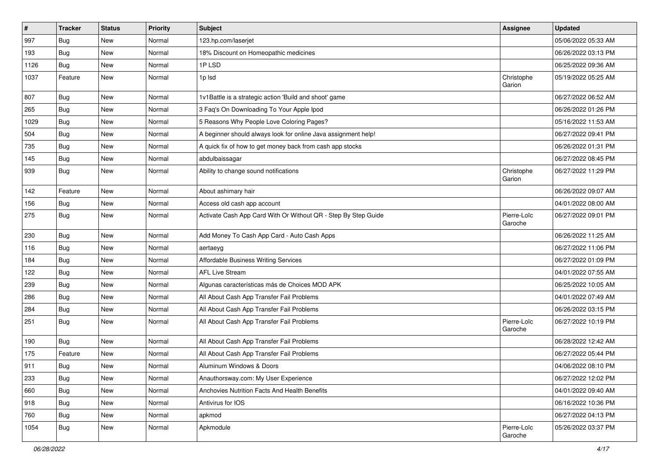| $\sharp$ | <b>Tracker</b> | <b>Status</b> | <b>Priority</b> | <b>Subject</b>                                                 | Assignee               | <b>Updated</b>      |
|----------|----------------|---------------|-----------------|----------------------------------------------------------------|------------------------|---------------------|
| 997      | <b>Bug</b>     | New           | Normal          | 123.hp.com/laserjet                                            |                        | 05/06/2022 05:33 AM |
| 193      | Bug            | New           | Normal          | 18% Discount on Homeopathic medicines                          |                        | 06/26/2022 03:13 PM |
| 1126     | Bug            | New           | Normal          | 1PLSD                                                          |                        | 06/25/2022 09:36 AM |
| 1037     | Feature        | New           | Normal          | 1p lsd                                                         | Christophe<br>Garion   | 05/19/2022 05:25 AM |
| 807      | Bug            | New           | Normal          | 1v1Battle is a strategic action 'Build and shoot' game         |                        | 06/27/2022 06:52 AM |
| 265      | <b>Bug</b>     | New           | Normal          | 3 Faq's On Downloading To Your Apple Ipod                      |                        | 06/26/2022 01:26 PM |
| 1029     | <b>Bug</b>     | New           | Normal          | 5 Reasons Why People Love Coloring Pages?                      |                        | 05/16/2022 11:53 AM |
| 504      | <b>Bug</b>     | New           | Normal          | A beginner should always look for online Java assignment help! |                        | 06/27/2022 09:41 PM |
| 735      | Bug            | New           | Normal          | A quick fix of how to get money back from cash app stocks      |                        | 06/26/2022 01:31 PM |
| 145      | Bug            | New           | Normal          | abdulbaissagar                                                 |                        | 06/27/2022 08:45 PM |
| 939      | <b>Bug</b>     | New           | Normal          | Ability to change sound notifications                          | Christophe<br>Garion   | 06/27/2022 11:29 PM |
| 142      | Feature        | New           | Normal          | About ashimary hair                                            |                        | 06/26/2022 09:07 AM |
| 156      | Bug            | New           | Normal          | Access old cash app account                                    |                        | 04/01/2022 08:00 AM |
| 275      | Bug            | New           | Normal          | Activate Cash App Card With Or Without QR - Step By Step Guide | Pierre-Loïc<br>Garoche | 06/27/2022 09:01 PM |
| 230      | Bug            | New           | Normal          | Add Money To Cash App Card - Auto Cash Apps                    |                        | 06/26/2022 11:25 AM |
| 116      | Bug            | New           | Normal          | aertaeyg                                                       |                        | 06/27/2022 11:06 PM |
| 184      | <b>Bug</b>     | New           | Normal          | Affordable Business Writing Services                           |                        | 06/27/2022 01:09 PM |
| 122      | Bug            | New           | Normal          | <b>AFL Live Stream</b>                                         |                        | 04/01/2022 07:55 AM |
| 239      | Bug            | New           | Normal          | Algunas características más de Choices MOD APK                 |                        | 06/25/2022 10:05 AM |
| 286      | <b>Bug</b>     | New           | Normal          | All About Cash App Transfer Fail Problems                      |                        | 04/01/2022 07:49 AM |
| 284      | <b>Bug</b>     | New           | Normal          | All About Cash App Transfer Fail Problems                      |                        | 06/26/2022 03:15 PM |
| 251      | <b>Bug</b>     | New           | Normal          | All About Cash App Transfer Fail Problems                      | Pierre-Loïc<br>Garoche | 06/27/2022 10:19 PM |
| 190      | Bug            | New           | Normal          | All About Cash App Transfer Fail Problems                      |                        | 06/28/2022 12:42 AM |
| 175      | Feature        | New           | Normal          | All About Cash App Transfer Fail Problems                      |                        | 06/27/2022 05:44 PM |
| 911      | <b>Bug</b>     | New           | Normal          | Aluminum Windows & Doors                                       |                        | 04/06/2022 08:10 PM |
| 233      | <b>Bug</b>     | New           | Normal          | Anauthorsway.com: My User Experience                           |                        | 06/27/2022 12:02 PM |
| 660      | <b>Bug</b>     | New           | Normal          | Anchovies Nutrition Facts And Health Benefits                  |                        | 04/01/2022 09:40 AM |
| 918      | <b>Bug</b>     | New           | Normal          | Antivirus for IOS                                              |                        | 06/16/2022 10:36 PM |
| 760      | Bug            | New           | Normal          | apkmod                                                         |                        | 06/27/2022 04:13 PM |
| 1054     | <b>Bug</b>     | New           | Normal          | Apkmodule                                                      | Pierre-Loïc<br>Garoche | 05/26/2022 03:37 PM |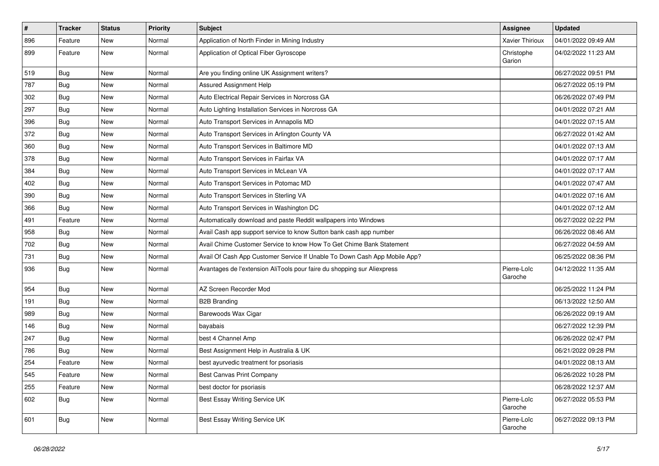| $\vert$ # | <b>Tracker</b> | <b>Status</b> | Priority | <b>Subject</b>                                                            | <b>Assignee</b>        | <b>Updated</b>      |
|-----------|----------------|---------------|----------|---------------------------------------------------------------------------|------------------------|---------------------|
| 896       | Feature        | <b>New</b>    | Normal   | Application of North Finder in Mining Industry                            | <b>Xavier Thirioux</b> | 04/01/2022 09:49 AM |
| 899       | Feature        | New           | Normal   | Application of Optical Fiber Gyroscope                                    | Christophe<br>Garion   | 04/02/2022 11:23 AM |
| 519       | Bug            | New           | Normal   | Are you finding online UK Assignment writers?                             |                        | 06/27/2022 09:51 PM |
| 787       | Bug            | New           | Normal   | Assured Assignment Help                                                   |                        | 06/27/2022 05:19 PM |
| 302       | <b>Bug</b>     | New           | Normal   | Auto Electrical Repair Services in Norcross GA                            |                        | 06/26/2022 07:49 PM |
| 297       | <b>Bug</b>     | New           | Normal   | Auto Lighting Installation Services in Norcross GA                        |                        | 04/01/2022 07:21 AM |
| 396       | <b>Bug</b>     | New           | Normal   | Auto Transport Services in Annapolis MD                                   |                        | 04/01/2022 07:15 AM |
| 372       | Bug            | New           | Normal   | Auto Transport Services in Arlington County VA                            |                        | 06/27/2022 01:42 AM |
| 360       | Bug            | <b>New</b>    | Normal   | Auto Transport Services in Baltimore MD                                   |                        | 04/01/2022 07:13 AM |
| 378       | Bug            | New           | Normal   | Auto Transport Services in Fairfax VA                                     |                        | 04/01/2022 07:17 AM |
| 384       | Bug            | New           | Normal   | Auto Transport Services in McLean VA                                      |                        | 04/01/2022 07:17 AM |
| 402       | Bug            | <b>New</b>    | Normal   | Auto Transport Services in Potomac MD                                     |                        | 04/01/2022 07:47 AM |
| 390       | <b>Bug</b>     | <b>New</b>    | Normal   | Auto Transport Services in Sterling VA                                    |                        | 04/01/2022 07:16 AM |
| 366       | <b>Bug</b>     | <b>New</b>    | Normal   | Auto Transport Services in Washington DC                                  |                        | 04/01/2022 07:12 AM |
| 491       | Feature        | <b>New</b>    | Normal   | Automatically download and paste Reddit wallpapers into Windows           |                        | 06/27/2022 02:22 PM |
| 958       | <b>Bug</b>     | <b>New</b>    | Normal   | Avail Cash app support service to know Sutton bank cash app number        |                        | 06/26/2022 08:46 AM |
| 702       | <b>Bug</b>     | <b>New</b>    | Normal   | Avail Chime Customer Service to know How To Get Chime Bank Statement      |                        | 06/27/2022 04:59 AM |
| 731       | <b>Bug</b>     | <b>New</b>    | Normal   | Avail Of Cash App Customer Service If Unable To Down Cash App Mobile App? |                        | 06/25/2022 08:36 PM |
| 936       | <b>Bug</b>     | New           | Normal   | Avantages de l'extension AliTools pour faire du shopping sur Aliexpress   | Pierre-Loïc<br>Garoche | 04/12/2022 11:35 AM |
| 954       | Bug            | New           | Normal   | AZ Screen Recorder Mod                                                    |                        | 06/25/2022 11:24 PM |
| 191       | Bug            | <b>New</b>    | Normal   | <b>B2B Branding</b>                                                       |                        | 06/13/2022 12:50 AM |
| 989       | Bug            | New           | Normal   | Barewoods Wax Cigar                                                       |                        | 06/26/2022 09:19 AM |
| 146       | Bug            | New           | Normal   | bayabais                                                                  |                        | 06/27/2022 12:39 PM |
| 247       | <b>Bug</b>     | <b>New</b>    | Normal   | best 4 Channel Amp                                                        |                        | 06/26/2022 02:47 PM |
| 786       | Bug            | New           | Normal   | Best Assignment Help in Australia & UK                                    |                        | 06/21/2022 09:28 PM |
| 254       | Feature        | <b>New</b>    | Normal   | best ayurvedic treatment for psoriasis                                    |                        | 04/01/2022 08:13 AM |
| 545       | Feature        | <b>New</b>    | Normal   | Best Canvas Print Company                                                 |                        | 06/26/2022 10:28 PM |
| 255       | Feature        | <b>New</b>    | Normal   | best doctor for psoriasis                                                 |                        | 06/28/2022 12:37 AM |
| 602       | <b>Bug</b>     | <b>New</b>    | Normal   | Best Essay Writing Service UK                                             | Pierre-Loïc<br>Garoche | 06/27/2022 05:53 PM |
| 601       | <b>Bug</b>     | New           | Normal   | Best Essay Writing Service UK                                             | Pierre-Loïc<br>Garoche | 06/27/2022 09:13 PM |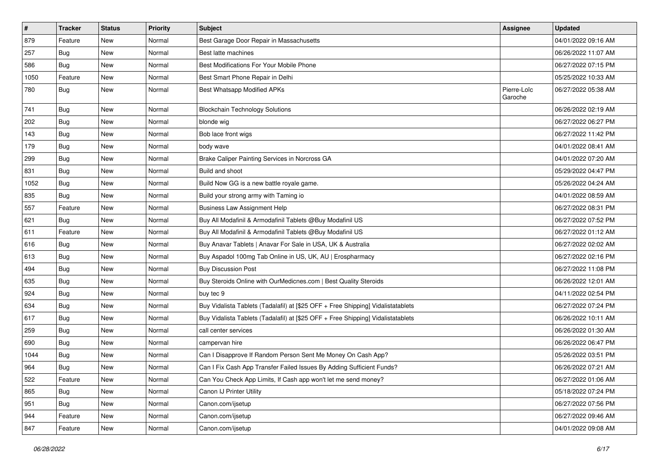| $\vert$ # | <b>Tracker</b> | <b>Status</b> | <b>Priority</b> | <b>Subject</b>                                                                   | Assignee               | <b>Updated</b>      |
|-----------|----------------|---------------|-----------------|----------------------------------------------------------------------------------|------------------------|---------------------|
| 879       | Feature        | New           | Normal          | Best Garage Door Repair in Massachusetts                                         |                        | 04/01/2022 09:16 AM |
| 257       | <b>Bug</b>     | <b>New</b>    | Normal          | Best latte machines                                                              |                        | 06/26/2022 11:07 AM |
| 586       | Bug            | New           | Normal          | Best Modifications For Your Mobile Phone                                         |                        | 06/27/2022 07:15 PM |
| 1050      | Feature        | New           | Normal          | Best Smart Phone Repair in Delhi                                                 |                        | 05/25/2022 10:33 AM |
| 780       | Bug            | New           | Normal          | <b>Best Whatsapp Modified APKs</b>                                               | Pierre-Loïc<br>Garoche | 06/27/2022 05:38 AM |
| 741       | <b>Bug</b>     | <b>New</b>    | Normal          | <b>Blockchain Technology Solutions</b>                                           |                        | 06/26/2022 02:19 AM |
| 202       | <b>Bug</b>     | New           | Normal          | blonde wig                                                                       |                        | 06/27/2022 06:27 PM |
| 143       | <b>Bug</b>     | New           | Normal          | Bob lace front wigs                                                              |                        | 06/27/2022 11:42 PM |
| 179       | Bug            | New           | Normal          | body wave                                                                        |                        | 04/01/2022 08:41 AM |
| 299       | <b>Bug</b>     | New           | Normal          | Brake Caliper Painting Services in Norcross GA                                   |                        | 04/01/2022 07:20 AM |
| 831       | Bug            | New           | Normal          | Build and shoot                                                                  |                        | 05/29/2022 04:47 PM |
| 1052      | <b>Bug</b>     | New           | Normal          | Build Now GG is a new battle royale game.                                        |                        | 05/26/2022 04:24 AM |
| 835       | Bug            | New           | Normal          | Build your strong army with Taming io                                            |                        | 04/01/2022 08:59 AM |
| 557       | Feature        | New           | Normal          | <b>Business Law Assignment Help</b>                                              |                        | 06/27/2022 08:31 PM |
| 621       | <b>Bug</b>     | New           | Normal          | Buy All Modafinil & Armodafinil Tablets @Buy Modafinil US                        |                        | 06/27/2022 07:52 PM |
| 611       | Feature        | New           | Normal          | Buy All Modafinil & Armodafinil Tablets @Buy Modafinil US                        |                        | 06/27/2022 01:12 AM |
| 616       | Bug            | New           | Normal          | Buy Anavar Tablets   Anavar For Sale in USA, UK & Australia                      |                        | 06/27/2022 02:02 AM |
| 613       | Bug            | New           | Normal          | Buy Aspadol 100mg Tab Online in US, UK, AU   Erospharmacy                        |                        | 06/27/2022 02:16 PM |
| 494       | <b>Bug</b>     | New           | Normal          | <b>Buy Discussion Post</b>                                                       |                        | 06/27/2022 11:08 PM |
| 635       | <b>Bug</b>     | New           | Normal          | Buy Steroids Online with OurMedicnes.com   Best Quality Steroids                 |                        | 06/26/2022 12:01 AM |
| 924       | <b>Bug</b>     | New           | Normal          | buy tec 9                                                                        |                        | 04/11/2022 02:54 PM |
| 634       | Bug            | New           | Normal          | Buy Vidalista Tablets (Tadalafil) at [\$25 OFF + Free Shipping] Vidalistatablets |                        | 06/27/2022 07:24 PM |
| 617       | <b>Bug</b>     | New           | Normal          | Buy Vidalista Tablets (Tadalafil) at [\$25 OFF + Free Shipping] Vidalistatablets |                        | 06/26/2022 10:11 AM |
| 259       | <b>Bug</b>     | <b>New</b>    | Normal          | call center services                                                             |                        | 06/26/2022 01:30 AM |
| 690       | Bug            | New           | Normal          | campervan hire                                                                   |                        | 06/26/2022 06:47 PM |
| 1044      | <b>Bug</b>     | New           | Normal          | Can I Disapprove If Random Person Sent Me Money On Cash App?                     |                        | 05/26/2022 03:51 PM |
| 964       | <b>Bug</b>     | New           | Normal          | Can I Fix Cash App Transfer Failed Issues By Adding Sufficient Funds?            |                        | 06/26/2022 07:21 AM |
| 522       | Feature        | New           | Normal          | Can You Check App Limits, If Cash app won't let me send money?                   |                        | 06/27/2022 01:06 AM |
| 865       | Bug            | New           | Normal          | Canon IJ Printer Utility                                                         |                        | 05/18/2022 07:24 PM |
| 951       | <b>Bug</b>     | New           | Normal          | Canon.com/ijsetup                                                                |                        | 06/27/2022 07:56 PM |
| 944       | Feature        | New           | Normal          | Canon.com/ijsetup                                                                |                        | 06/27/2022 09:46 AM |
| 847       | Feature        | New           | Normal          | Canon.com/ijsetup                                                                |                        | 04/01/2022 09:08 AM |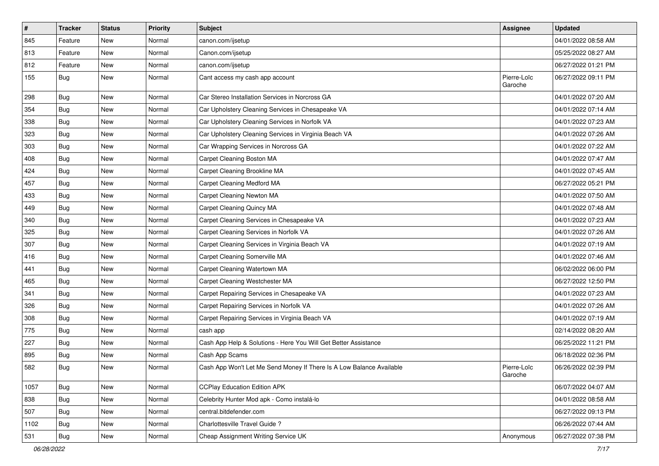| $\sharp$ | <b>Tracker</b> | <b>Status</b> | <b>Priority</b> | <b>Subject</b>                                                       | <b>Assignee</b>        | <b>Updated</b>      |
|----------|----------------|---------------|-----------------|----------------------------------------------------------------------|------------------------|---------------------|
| 845      | Feature        | New           | Normal          | canon.com/ijsetup                                                    |                        | 04/01/2022 08:58 AM |
| 813      | Feature        | New           | Normal          | Canon.com/ijsetup                                                    |                        | 05/25/2022 08:27 AM |
| 812      | Feature        | New           | Normal          | canon.com/ijsetup                                                    |                        | 06/27/2022 01:21 PM |
| 155      | Bug            | New           | Normal          | Cant access my cash app account                                      | Pierre-Loïc<br>Garoche | 06/27/2022 09:11 PM |
| 298      | <b>Bug</b>     | <b>New</b>    | Normal          | Car Stereo Installation Services in Norcross GA                      |                        | 04/01/2022 07:20 AM |
| 354      | Bug            | New           | Normal          | Car Upholstery Cleaning Services in Chesapeake VA                    |                        | 04/01/2022 07:14 AM |
| 338      | Bug            | <b>New</b>    | Normal          | Car Upholstery Cleaning Services in Norfolk VA                       |                        | 04/01/2022 07:23 AM |
| 323      | Bug            | <b>New</b>    | Normal          | Car Upholstery Cleaning Services in Virginia Beach VA                |                        | 04/01/2022 07:26 AM |
| 303      | Bug            | <b>New</b>    | Normal          | Car Wrapping Services in Norcross GA                                 |                        | 04/01/2022 07:22 AM |
| 408      | <b>Bug</b>     | New           | Normal          | Carpet Cleaning Boston MA                                            |                        | 04/01/2022 07:47 AM |
| 424      | <b>Bug</b>     | New           | Normal          | Carpet Cleaning Brookline MA                                         |                        | 04/01/2022 07:45 AM |
| 457      | <b>Bug</b>     | <b>New</b>    | Normal          | Carpet Cleaning Medford MA                                           |                        | 06/27/2022 05:21 PM |
| 433      | <b>Bug</b>     | New           | Normal          | Carpet Cleaning Newton MA                                            |                        | 04/01/2022 07:50 AM |
| 449      | Bug            | <b>New</b>    | Normal          | Carpet Cleaning Quincy MA                                            |                        | 04/01/2022 07:48 AM |
| 340      | <b>Bug</b>     | New           | Normal          | Carpet Cleaning Services in Chesapeake VA                            |                        | 04/01/2022 07:23 AM |
| 325      | <b>Bug</b>     | New           | Normal          | Carpet Cleaning Services in Norfolk VA                               |                        | 04/01/2022 07:26 AM |
| 307      | Bug            | New           | Normal          | Carpet Cleaning Services in Virginia Beach VA                        |                        | 04/01/2022 07:19 AM |
| 416      | <b>Bug</b>     | New           | Normal          | Carpet Cleaning Somerville MA                                        |                        | 04/01/2022 07:46 AM |
| 441      | Bug            | New           | Normal          | Carpet Cleaning Watertown MA                                         |                        | 06/02/2022 06:00 PM |
| 465      | <b>Bug</b>     | New           | Normal          | Carpet Cleaning Westchester MA                                       |                        | 06/27/2022 12:50 PM |
| 341      | Bug            | <b>New</b>    | Normal          | Carpet Repairing Services in Chesapeake VA                           |                        | 04/01/2022 07:23 AM |
| 326      | Bug            | <b>New</b>    | Normal          | Carpet Repairing Services in Norfolk VA                              |                        | 04/01/2022 07:26 AM |
| 308      | <b>Bug</b>     | New           | Normal          | Carpet Repairing Services in Virginia Beach VA                       |                        | 04/01/2022 07:19 AM |
| 775      | <b>Bug</b>     | New           | Normal          | cash app                                                             |                        | 02/14/2022 08:20 AM |
| 227      | <b>Bug</b>     | New           | Normal          | Cash App Help & Solutions - Here You Will Get Better Assistance      |                        | 06/25/2022 11:21 PM |
| 895      | <b>Bug</b>     | New           | Normal          | Cash App Scams                                                       |                        | 06/18/2022 02:36 PM |
| 582      | <b>Bug</b>     | New           | Normal          | Cash App Won't Let Me Send Money If There Is A Low Balance Available | Pierre-Loïc<br>Garoche | 06/26/2022 02:39 PM |
| 1057     | Bug            | New           | Normal          | <b>CCPlay Education Edition APK</b>                                  |                        | 06/07/2022 04:07 AM |
| 838      | Bug            | New           | Normal          | Celebrity Hunter Mod apk - Como instalá-lo                           |                        | 04/01/2022 08:58 AM |
| 507      | Bug            | New           | Normal          | central.bitdefender.com                                              |                        | 06/27/2022 09:13 PM |
| 1102     | Bug            | New           | Normal          | Charlottesville Travel Guide ?                                       |                        | 06/26/2022 07:44 AM |
| 531      | <b>Bug</b>     | New           | Normal          | Cheap Assignment Writing Service UK                                  | Anonymous              | 06/27/2022 07:38 PM |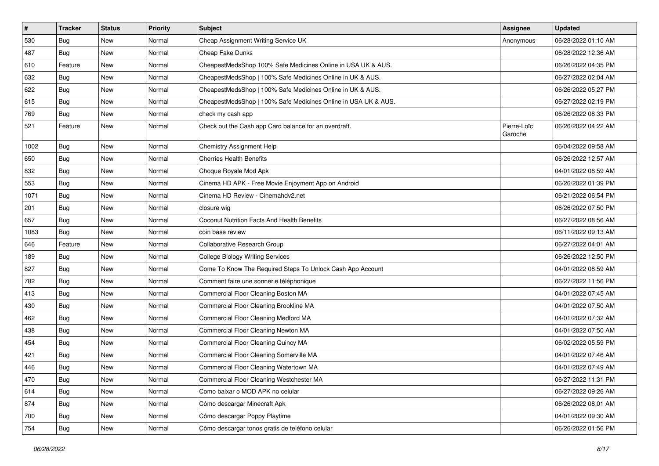| $\sharp$ | <b>Tracker</b> | <b>Status</b> | <b>Priority</b> | <b>Subject</b>                                                 | <b>Assignee</b>        | <b>Updated</b>      |
|----------|----------------|---------------|-----------------|----------------------------------------------------------------|------------------------|---------------------|
| 530      | <b>Bug</b>     | New           | Normal          | Cheap Assignment Writing Service UK                            | Anonymous              | 06/28/2022 01:10 AM |
| 487      | <b>Bug</b>     | <b>New</b>    | Normal          | Cheap Fake Dunks                                               |                        | 06/28/2022 12:36 AM |
| 610      | Feature        | New           | Normal          | CheapestMedsShop 100% Safe Medicines Online in USA UK & AUS.   |                        | 06/26/2022 04:35 PM |
| 632      | Bug            | <b>New</b>    | Normal          | CheapestMedsShop   100% Safe Medicines Online in UK & AUS.     |                        | 06/27/2022 02:04 AM |
| 622      | Bug            | <b>New</b>    | Normal          | CheapestMedsShop   100% Safe Medicines Online in UK & AUS.     |                        | 06/26/2022 05:27 PM |
| 615      | <b>Bug</b>     | New           | Normal          | CheapestMedsShop   100% Safe Medicines Online in USA UK & AUS. |                        | 06/27/2022 02:19 PM |
| 769      | Bug            | <b>New</b>    | Normal          | check my cash app                                              |                        | 06/26/2022 08:33 PM |
| 521      | Feature        | New           | Normal          | Check out the Cash app Card balance for an overdraft.          | Pierre-Loïc<br>Garoche | 06/26/2022 04:22 AM |
| 1002     | Bug            | New           | Normal          | <b>Chemistry Assignment Help</b>                               |                        | 06/04/2022 09:58 AM |
| 650      | Bug            | New           | Normal          | <b>Cherries Health Benefits</b>                                |                        | 06/26/2022 12:57 AM |
| 832      | Bug            | New           | Normal          | Choque Royale Mod Apk                                          |                        | 04/01/2022 08:59 AM |
| 553      | <b>Bug</b>     | <b>New</b>    | Normal          | Cinema HD APK - Free Movie Enjoyment App on Android            |                        | 06/26/2022 01:39 PM |
| 1071     | <b>Bug</b>     | New           | Normal          | Cinema HD Review - Cinemahdv2.net                              |                        | 06/21/2022 06:54 PM |
| 201      | Bug            | New           | Normal          | closure wig                                                    |                        | 06/26/2022 07:50 PM |
| 657      | <b>Bug</b>     | New           | Normal          | Coconut Nutrition Facts And Health Benefits                    |                        | 06/27/2022 08:56 AM |
| 1083     | Bug            | <b>New</b>    | Normal          | coin base review                                               |                        | 06/11/2022 09:13 AM |
| 646      | Feature        | <b>New</b>    | Normal          | Collaborative Research Group                                   |                        | 06/27/2022 04:01 AM |
| 189      | <b>Bug</b>     | New           | Normal          | <b>College Biology Writing Services</b>                        |                        | 06/26/2022 12:50 PM |
| 827      | <b>Bug</b>     | New           | Normal          | Come To Know The Required Steps To Unlock Cash App Account     |                        | 04/01/2022 08:59 AM |
| 782      | Bug            | New           | Normal          | Comment faire une sonnerie téléphonique                        |                        | 06/27/2022 11:56 PM |
| 413      | <b>Bug</b>     | <b>New</b>    | Normal          | Commercial Floor Cleaning Boston MA                            |                        | 04/01/2022 07:45 AM |
| 430      | Bug            | <b>New</b>    | Normal          | Commercial Floor Cleaning Brookline MA                         |                        | 04/01/2022 07:50 AM |
| 462      | <b>Bug</b>     | New           | Normal          | Commercial Floor Cleaning Medford MA                           |                        | 04/01/2022 07:32 AM |
| 438      | Bug            | New           | Normal          | Commercial Floor Cleaning Newton MA                            |                        | 04/01/2022 07:50 AM |
| 454      | <b>Bug</b>     | <b>New</b>    | Normal          | Commercial Floor Cleaning Quincy MA                            |                        | 06/02/2022 05:59 PM |
| 421      | <b>Bug</b>     | New           | Normal          | Commercial Floor Cleaning Somerville MA                        |                        | 04/01/2022 07:46 AM |
| 446      | <b>Bug</b>     | New           | Normal          | Commercial Floor Cleaning Watertown MA                         |                        | 04/01/2022 07:49 AM |
| 470      | <b>Bug</b>     | New           | Normal          | Commercial Floor Cleaning Westchester MA                       |                        | 06/27/2022 11:31 PM |
| 614      | Bug            | New           | Normal          | Como baixar o MOD APK no celular                               |                        | 06/27/2022 09:26 AM |
| 874      | <b>Bug</b>     | New           | Normal          | Cómo descargar Minecraft Apk                                   |                        | 06/26/2022 08:01 AM |
| 700      | Bug            | New           | Normal          | Cómo descargar Poppy Playtime                                  |                        | 04/01/2022 09:30 AM |
| 754      | <b>Bug</b>     | New           | Normal          | Cómo descargar tonos gratis de teléfono celular                |                        | 06/26/2022 01:56 PM |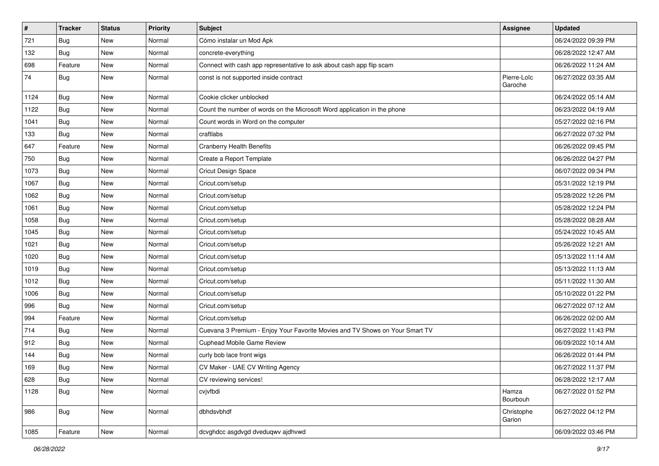| $\vert$ # | <b>Tracker</b> | <b>Status</b> | <b>Priority</b> | <b>Subject</b>                                                               | Assignee               | <b>Updated</b>      |
|-----------|----------------|---------------|-----------------|------------------------------------------------------------------------------|------------------------|---------------------|
| 721       | Bug            | New           | Normal          | Cómo instalar un Mod Apk                                                     |                        | 06/24/2022 09:39 PM |
| 132       | <b>Bug</b>     | <b>New</b>    | Normal          | concrete-everything                                                          |                        | 06/28/2022 12:47 AM |
| 698       | Feature        | New           | Normal          | Connect with cash app representative to ask about cash app flip scam         |                        | 06/26/2022 11:24 AM |
| 74        | Bug            | New           | Normal          | const is not supported inside contract                                       | Pierre-Loïc<br>Garoche | 06/27/2022 03:35 AM |
| 1124      | Bug            | New           | Normal          | Cookie clicker unblocked                                                     |                        | 06/24/2022 05:14 AM |
| 1122      | <b>Bug</b>     | <b>New</b>    | Normal          | Count the number of words on the Microsoft Word application in the phone     |                        | 06/23/2022 04:19 AM |
| 1041      | <b>Bug</b>     | New           | Normal          | Count words in Word on the computer                                          |                        | 05/27/2022 02:16 PM |
| 133       | <b>Bug</b>     | New           | Normal          | craftlabs                                                                    |                        | 06/27/2022 07:32 PM |
| 647       | Feature        | New           | Normal          | <b>Cranberry Health Benefits</b>                                             |                        | 06/26/2022 09:45 PM |
| 750       | <b>Bug</b>     | New           | Normal          | Create a Report Template                                                     |                        | 06/26/2022 04:27 PM |
| 1073      | <b>Bug</b>     | New           | Normal          | Cricut Design Space                                                          |                        | 06/07/2022 09:34 PM |
| 1067      | <b>Bug</b>     | New           | Normal          | Cricut.com/setup                                                             |                        | 05/31/2022 12:19 PM |
| 1062      | <b>Bug</b>     | New           | Normal          | Cricut.com/setup                                                             |                        | 05/28/2022 12:26 PM |
| 1061      | Bug            | <b>New</b>    | Normal          | Cricut.com/setup                                                             |                        | 05/28/2022 12:24 PM |
| 1058      | Bug            | New           | Normal          | Cricut.com/setup                                                             |                        | 05/28/2022 08:28 AM |
| 1045      | <b>Bug</b>     | New           | Normal          | Cricut.com/setup                                                             |                        | 05/24/2022 10:45 AM |
| 1021      | Bug            | <b>New</b>    | Normal          | Cricut.com/setup                                                             |                        | 05/26/2022 12:21 AM |
| 1020      | <b>Bug</b>     | New           | Normal          | Cricut.com/setup                                                             |                        | 05/13/2022 11:14 AM |
| 1019      | <b>Bug</b>     | <b>New</b>    | Normal          | Cricut.com/setup                                                             |                        | 05/13/2022 11:13 AM |
| 1012      | Bug            | New           | Normal          | Cricut.com/setup                                                             |                        | 05/11/2022 11:30 AM |
| 1006      | Bug            | New           | Normal          | Cricut.com/setup                                                             |                        | 05/10/2022 01:22 PM |
| 996       | <b>Bug</b>     | New           | Normal          | Cricut.com/setup                                                             |                        | 06/27/2022 07:12 AM |
| 994       | Feature        | New           | Normal          | Cricut.com/setup                                                             |                        | 06/26/2022 02:00 AM |
| 714       | Bug            | New           | Normal          | Cuevana 3 Premium - Enjoy Your Favorite Movies and TV Shows on Your Smart TV |                        | 06/27/2022 11:43 PM |
| 912       | <b>Bug</b>     | New           | Normal          | Cuphead Mobile Game Review                                                   |                        | 06/09/2022 10:14 AM |
| 144       | Bug            | New           | Normal          | curly bob lace front wigs                                                    |                        | 06/26/2022 01:44 PM |
| 169       | <b>Bug</b>     | New           | Normal          | CV Maker - UAE CV Writing Agency                                             |                        | 06/27/2022 11:37 PM |
| 628       | <b>Bug</b>     | New           | Normal          | CV reviewing services!                                                       |                        | 06/28/2022 12:17 AM |
| 1128      | <b>Bug</b>     | New           | Normal          | cvjvfbdi                                                                     | Hamza<br>Bourbouh      | 06/27/2022 01:52 PM |
| 986       | Bug            | New           | Normal          | dbhdsvbhdf                                                                   | Christophe<br>Garion   | 06/27/2022 04:12 PM |
| 1085      | Feature        | New           | Normal          | dcvghdcc asgdvgd dveduqwv ajdhvwd                                            |                        | 06/09/2022 03:46 PM |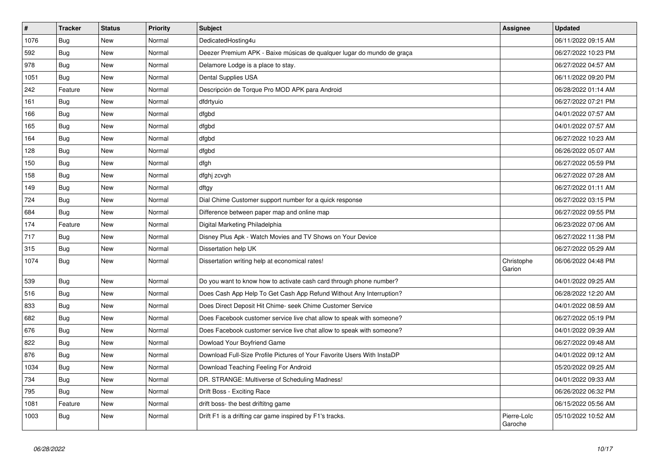| $\sharp$ | <b>Tracker</b> | <b>Status</b> | <b>Priority</b> | <b>Subject</b>                                                          | Assignee               | Updated             |
|----------|----------------|---------------|-----------------|-------------------------------------------------------------------------|------------------------|---------------------|
| 1076     | Bug            | New           | Normal          | DedicatedHosting4u                                                      |                        | 06/11/2022 09:15 AM |
| 592      | Bug            | <b>New</b>    | Normal          | Deezer Premium APK - Baixe músicas de qualquer lugar do mundo de graça  |                        | 06/27/2022 10:23 PM |
| 978      | Bug            | <b>New</b>    | Normal          | Delamore Lodge is a place to stay.                                      |                        | 06/27/2022 04:57 AM |
| 1051     | <b>Bug</b>     | New           | Normal          | Dental Supplies USA                                                     |                        | 06/11/2022 09:20 PM |
| 242      | Feature        | <b>New</b>    | Normal          | Descripción de Torque Pro MOD APK para Android                          |                        | 06/28/2022 01:14 AM |
| 161      | Bug            | New           | Normal          | dfdrtyuio                                                               |                        | 06/27/2022 07:21 PM |
| 166      | Bug            | <b>New</b>    | Normal          | dfgbd                                                                   |                        | 04/01/2022 07:57 AM |
| 165      | Bug            | New           | Normal          | dfgbd                                                                   |                        | 04/01/2022 07:57 AM |
| 164      | Bug            | New           | Normal          | dfgbd                                                                   |                        | 06/27/2022 10:23 AM |
| 128      | Bug            | <b>New</b>    | Normal          | dfgbd                                                                   |                        | 06/26/2022 05:07 AM |
| 150      | Bug            | New           | Normal          | dfgh                                                                    |                        | 06/27/2022 05:59 PM |
| 158      | <b>Bug</b>     | New           | Normal          | dfghj zcvgh                                                             |                        | 06/27/2022 07:28 AM |
| 149      | Bug            | New           | Normal          | dftgy                                                                   |                        | 06/27/2022 01:11 AM |
| 724      | Bug            | New           | Normal          | Dial Chime Customer support number for a quick response                 |                        | 06/27/2022 03:15 PM |
| 684      | <b>Bug</b>     | New           | Normal          | Difference between paper map and online map                             |                        | 06/27/2022 09:55 PM |
| 174      | Feature        | New           | Normal          | Digital Marketing Philadelphia                                          |                        | 06/23/2022 07:06 AM |
| 717      | <b>Bug</b>     | New           | Normal          | Disney Plus Apk - Watch Movies and TV Shows on Your Device              |                        | 06/27/2022 11:38 PM |
| 315      | Bug            | New           | Normal          | Dissertation help UK                                                    |                        | 06/27/2022 05:29 AM |
| 1074     | <b>Bug</b>     | New           | Normal          | Dissertation writing help at economical rates!                          | Christophe<br>Garion   | 06/06/2022 04:48 PM |
| 539      | Bug            | New           | Normal          | Do you want to know how to activate cash card through phone number?     |                        | 04/01/2022 09:25 AM |
| 516      | <b>Bug</b>     | New           | Normal          | Does Cash App Help To Get Cash App Refund Without Any Interruption?     |                        | 06/28/2022 12:20 AM |
| 833      | Bug            | New           | Normal          | Does Direct Deposit Hit Chime- seek Chime Customer Service              |                        | 04/01/2022 08:59 AM |
| 682      | <b>Bug</b>     | New           | Normal          | Does Facebook customer service live chat allow to speak with someone?   |                        | 06/27/2022 05:19 PM |
| 676      | <b>Bug</b>     | <b>New</b>    | Normal          | Does Facebook customer service live chat allow to speak with someone?   |                        | 04/01/2022 09:39 AM |
| 822      | <b>Bug</b>     | <b>New</b>    | Normal          | Dowload Your Boyfriend Game                                             |                        | 06/27/2022 09:48 AM |
| 876      | <b>Bug</b>     | <b>New</b>    | Normal          | Download Full-Size Profile Pictures of Your Favorite Users With InstaDP |                        | 04/01/2022 09:12 AM |
| 1034     | <b>Bug</b>     | <b>New</b>    | Normal          | Download Teaching Feeling For Android                                   |                        | 05/20/2022 09:25 AM |
| 734      | <b>Bug</b>     | New           | Normal          | DR. STRANGE: Multiverse of Scheduling Madness!                          |                        | 04/01/2022 09:33 AM |
| 795      | Bug            | <b>New</b>    | Normal          | Drift Boss - Exciting Race                                              |                        | 06/26/2022 06:32 PM |
| 1081     | Feature        | New           | Normal          | drift boss- the best driftitng game                                     |                        | 06/15/2022 05:56 AM |
| 1003     | Bug            | New           | Normal          | Drift F1 is a drifting car game inspired by F1's tracks.                | Pierre-Loïc<br>Garoche | 05/10/2022 10:52 AM |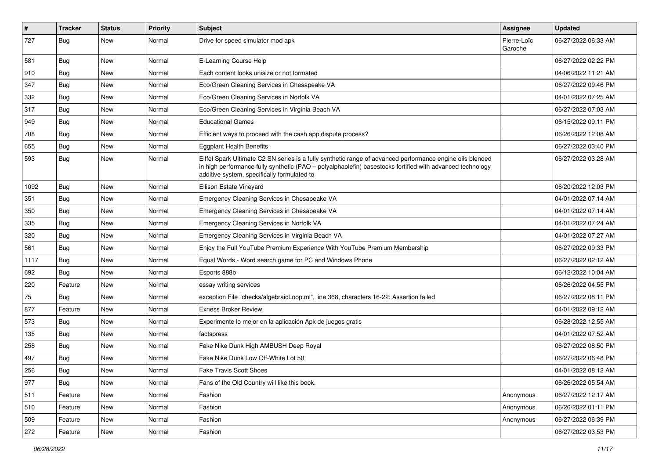| $\sharp$ | <b>Tracker</b> | <b>Status</b> | <b>Priority</b> | <b>Subject</b>                                                                                                                                                                                                                                                        | Assignee               | <b>Updated</b>      |
|----------|----------------|---------------|-----------------|-----------------------------------------------------------------------------------------------------------------------------------------------------------------------------------------------------------------------------------------------------------------------|------------------------|---------------------|
| 727      | Bug            | New           | Normal          | Drive for speed simulator mod apk                                                                                                                                                                                                                                     | Pierre-Loïc<br>Garoche | 06/27/2022 06:33 AM |
| 581      | Bug            | New           | Normal          | E-Learning Course Help                                                                                                                                                                                                                                                |                        | 06/27/2022 02:22 PM |
| 910      | Bug            | New           | Normal          | Each content looks unisize or not formated                                                                                                                                                                                                                            |                        | 04/06/2022 11:21 AM |
| 347      | Bug            | <b>New</b>    | Normal          | Eco/Green Cleaning Services in Chesapeake VA                                                                                                                                                                                                                          |                        | 06/27/2022 09:46 PM |
| 332      | <b>Bug</b>     | New           | Normal          | Eco/Green Cleaning Services in Norfolk VA                                                                                                                                                                                                                             |                        | 04/01/2022 07:25 AM |
| 317      | <b>Bug</b>     | <b>New</b>    | Normal          | Eco/Green Cleaning Services in Virginia Beach VA                                                                                                                                                                                                                      |                        | 06/27/2022 07:03 AM |
| 949      | Bug            | New           | Normal          | <b>Educational Games</b>                                                                                                                                                                                                                                              |                        | 06/15/2022 09:11 PM |
| 708      | <b>Bug</b>     | <b>New</b>    | Normal          | Efficient ways to proceed with the cash app dispute process?                                                                                                                                                                                                          |                        | 06/26/2022 12:08 AM |
| 655      | Bug            | New           | Normal          | <b>Eggplant Health Benefits</b>                                                                                                                                                                                                                                       |                        | 06/27/2022 03:40 PM |
| 593      | Bug            | New           | Normal          | Eiffel Spark Ultimate C2 SN series is a fully synthetic range of advanced performance engine oils blended<br>in high performance fully synthetic (PAO – polyalphaolefin) basestocks fortified with advanced technology<br>additive system, specifically formulated to |                        | 06/27/2022 03:28 AM |
| 1092     | <b>Bug</b>     | New           | Normal          | Ellison Estate Vineyard                                                                                                                                                                                                                                               |                        | 06/20/2022 12:03 PM |
| 351      | Bug            | <b>New</b>    | Normal          | Emergency Cleaning Services in Chesapeake VA                                                                                                                                                                                                                          |                        | 04/01/2022 07:14 AM |
| 350      | <b>Bug</b>     | New           | Normal          | Emergency Cleaning Services in Chesapeake VA                                                                                                                                                                                                                          |                        | 04/01/2022 07:14 AM |
| 335      | Bug            | <b>New</b>    | Normal          | Emergency Cleaning Services in Norfolk VA                                                                                                                                                                                                                             |                        | 04/01/2022 07:24 AM |
| 320      | Bug            | New           | Normal          | Emergency Cleaning Services in Virginia Beach VA                                                                                                                                                                                                                      |                        | 04/01/2022 07:27 AM |
| 561      | <b>Bug</b>     | New           | Normal          | Enjoy the Full YouTube Premium Experience With YouTube Premium Membership                                                                                                                                                                                             |                        | 06/27/2022 09:33 PM |
| 1117     | Bug            | New           | Normal          | Equal Words - Word search game for PC and Windows Phone                                                                                                                                                                                                               |                        | 06/27/2022 02:12 AM |
| 692      | Bug            | New           | Normal          | Esports 888b                                                                                                                                                                                                                                                          |                        | 06/12/2022 10:04 AM |
| 220      | Feature        | <b>New</b>    | Normal          | essay writing services                                                                                                                                                                                                                                                |                        | 06/26/2022 04:55 PM |
| 75       | Bug            | New           | Normal          | exception File "checks/algebraicLoop.ml", line 368, characters 16-22: Assertion failed                                                                                                                                                                                |                        | 06/27/2022 08:11 PM |
| 877      | Feature        | New           | Normal          | <b>Exness Broker Review</b>                                                                                                                                                                                                                                           |                        | 04/01/2022 09:12 AM |
| 573      | Bug            | New           | Normal          | Experimente lo mejor en la aplicación Apk de juegos gratis                                                                                                                                                                                                            |                        | 06/28/2022 12:55 AM |
| 135      | Bug            | <b>New</b>    | Normal          | factspress                                                                                                                                                                                                                                                            |                        | 04/01/2022 07:52 AM |
| 258      | Bug            | New           | Normal          | Fake Nike Dunk High AMBUSH Deep Royal                                                                                                                                                                                                                                 |                        | 06/27/2022 08:50 PM |
| 497      | <b>Bug</b>     | <b>New</b>    | Normal          | Fake Nike Dunk Low Off-White Lot 50                                                                                                                                                                                                                                   |                        | 06/27/2022 06:48 PM |
| 256      | Bug            | New           | Normal          | <b>Fake Travis Scott Shoes</b>                                                                                                                                                                                                                                        |                        | 04/01/2022 08:12 AM |
| 977      | Bug            | New           | Normal          | Fans of the Old Country will like this book.                                                                                                                                                                                                                          |                        | 06/26/2022 05:54 AM |
| 511      | Feature        | New           | Normal          | Fashion                                                                                                                                                                                                                                                               | Anonymous              | 06/27/2022 12:17 AM |
| 510      | Feature        | New           | Normal          | Fashion                                                                                                                                                                                                                                                               | Anonymous              | 06/26/2022 01:11 PM |
| 509      | Feature        | New           | Normal          | Fashion                                                                                                                                                                                                                                                               | Anonymous              | 06/27/2022 06:39 PM |
| 272      | Feature        | New           | Normal          | Fashion                                                                                                                                                                                                                                                               |                        | 06/27/2022 03:53 PM |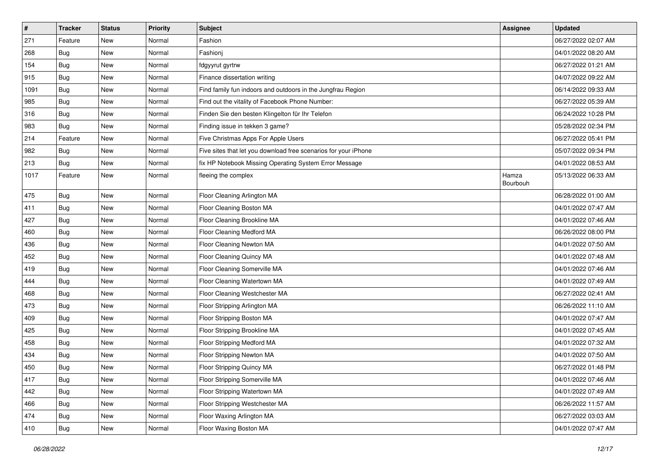| $\vert$ # | <b>Tracker</b> | <b>Status</b> | <b>Priority</b> | <b>Subject</b>                                                  | Assignee          | <b>Updated</b>      |
|-----------|----------------|---------------|-----------------|-----------------------------------------------------------------|-------------------|---------------------|
| 271       | Feature        | New           | Normal          | Fashion                                                         |                   | 06/27/2022 02:07 AM |
| 268       | <b>Bug</b>     | New           | Normal          | Fashionj                                                        |                   | 04/01/2022 08:20 AM |
| 154       | <b>Bug</b>     | New           | Normal          | fdgyyrut gyrtrw                                                 |                   | 06/27/2022 01:21 AM |
| 915       | <b>Bug</b>     | New           | Normal          | Finance dissertation writing                                    |                   | 04/07/2022 09:22 AM |
| 1091      | Bug            | New           | Normal          | Find family fun indoors and outdoors in the Jungfrau Region     |                   | 06/14/2022 09:33 AM |
| 985       | <b>Bug</b>     | New           | Normal          | Find out the vitality of Facebook Phone Number:                 |                   | 06/27/2022 05:39 AM |
| 316       | Bug            | <b>New</b>    | Normal          | Finden Sie den besten Klingelton für Ihr Telefon                |                   | 06/24/2022 10:28 PM |
| 983       | Bug            | New           | Normal          | Finding issue in tekken 3 game?                                 |                   | 05/28/2022 02:34 PM |
| 214       | Feature        | New           | Normal          | Five Christmas Apps For Apple Users                             |                   | 06/27/2022 05:41 PM |
| 982       | Bug            | New           | Normal          | Five sites that let you download free scenarios for your iPhone |                   | 05/07/2022 09:34 PM |
| 213       | Bug            | New           | Normal          | fix HP Notebook Missing Operating System Error Message          |                   | 04/01/2022 08:53 AM |
| 1017      | Feature        | New           | Normal          | fleeing the complex                                             | Hamza<br>Bourbouh | 05/13/2022 06:33 AM |
| 475       | <b>Bug</b>     | New           | Normal          | Floor Cleaning Arlington MA                                     |                   | 06/28/2022 01:00 AM |
| 411       | Bug            | <b>New</b>    | Normal          | Floor Cleaning Boston MA                                        |                   | 04/01/2022 07:47 AM |
| 427       | <b>Bug</b>     | New           | Normal          | Floor Cleaning Brookline MA                                     |                   | 04/01/2022 07:46 AM |
| 460       | <b>Bug</b>     | New           | Normal          | Floor Cleaning Medford MA                                       |                   | 06/26/2022 08:00 PM |
| 436       | Bug            | New           | Normal          | Floor Cleaning Newton MA                                        |                   | 04/01/2022 07:50 AM |
| 452       | <b>Bug</b>     | New           | Normal          | Floor Cleaning Quincy MA                                        |                   | 04/01/2022 07:48 AM |
| 419       | <b>Bug</b>     | New           | Normal          | Floor Cleaning Somerville MA                                    |                   | 04/01/2022 07:46 AM |
| 444       | Bug            | New           | Normal          | Floor Cleaning Watertown MA                                     |                   | 04/01/2022 07:49 AM |
| 468       | Bug            | New           | Normal          | Floor Cleaning Westchester MA                                   |                   | 06/27/2022 02:41 AM |
| 473       | Bug            | New           | Normal          | Floor Stripping Arlington MA                                    |                   | 06/26/2022 11:10 AM |
| 409       | <b>Bug</b>     | New           | Normal          | Floor Stripping Boston MA                                       |                   | 04/01/2022 07:47 AM |
| 425       | <b>Bug</b>     | New           | Normal          | Floor Stripping Brookline MA                                    |                   | 04/01/2022 07:45 AM |
| 458       | <b>Bug</b>     | New           | Normal          | Floor Stripping Medford MA                                      |                   | 04/01/2022 07:32 AM |
| 434       | <b>Bug</b>     | New           | Normal          | Floor Stripping Newton MA                                       |                   | 04/01/2022 07:50 AM |
| 450       | <b>Bug</b>     | New           | Normal          | Floor Stripping Quincy MA                                       |                   | 06/27/2022 01:48 PM |
| 417       | <b>Bug</b>     | New           | Normal          | Floor Stripping Somerville MA                                   |                   | 04/01/2022 07:46 AM |
| 442       | Bug            | New           | Normal          | Floor Stripping Watertown MA                                    |                   | 04/01/2022 07:49 AM |
| 466       | Bug            | New           | Normal          | Floor Stripping Westchester MA                                  |                   | 06/26/2022 11:57 AM |
| 474       | <b>Bug</b>     | New           | Normal          | Floor Waxing Arlington MA                                       |                   | 06/27/2022 03:03 AM |
| 410       | <b>Bug</b>     | New           | Normal          | Floor Waxing Boston MA                                          |                   | 04/01/2022 07:47 AM |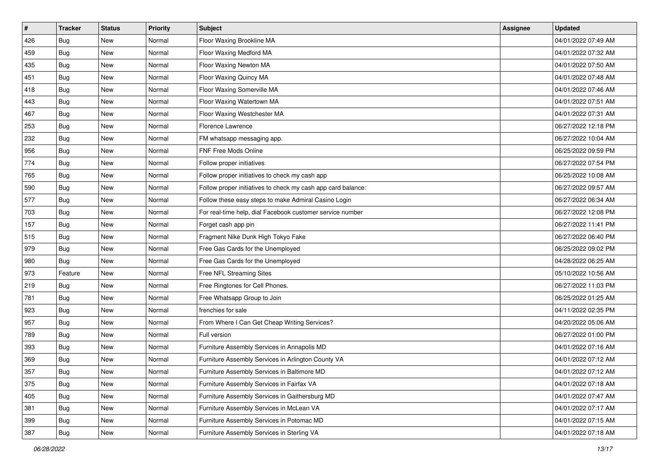| $\sharp$ | <b>Tracker</b> | <b>Status</b> | <b>Priority</b> | <b>Subject</b>                                               | Assignee | <b>Updated</b>      |
|----------|----------------|---------------|-----------------|--------------------------------------------------------------|----------|---------------------|
| 426      | <b>Bug</b>     | New           | Normal          | Floor Waxing Brookline MA                                    |          | 04/01/2022 07:49 AM |
| 459      | Bug            | New           | Normal          | Floor Waxing Medford MA                                      |          | 04/01/2022 07:32 AM |
| 435      | Bug            | New           | Normal          | Floor Waxing Newton MA                                       |          | 04/01/2022 07:50 AM |
| 451      | <b>Bug</b>     | New           | Normal          | Floor Waxing Quincy MA                                       |          | 04/01/2022 07:48 AM |
| 418      | Bug            | New           | Normal          | Floor Waxing Somerville MA                                   |          | 04/01/2022 07:46 AM |
| 443      | <b>Bug</b>     | New           | Normal          | Floor Waxing Watertown MA                                    |          | 04/01/2022 07:51 AM |
| 467      | <b>Bug</b>     | New           | Normal          | Floor Waxing Westchester MA                                  |          | 04/01/2022 07:31 AM |
| 253      | <b>Bug</b>     | New           | Normal          | Florence Lawrence                                            |          | 06/27/2022 12:18 PM |
| 232      | <b>Bug</b>     | New           | Normal          | FM whatsapp messaging app.                                   |          | 06/27/2022 10:04 AM |
| 956      | Bug            | New           | Normal          | FNF Free Mods Online                                         |          | 06/25/2022 09:59 PM |
| 774      | <b>Bug</b>     | New           | Normal          | Follow proper initiatives                                    |          | 06/27/2022 07:54 PM |
| 765      | <b>Bug</b>     | New           | Normal          | Follow proper initiatives to check my cash app               |          | 06/25/2022 10:08 AM |
| 590      | <b>Bug</b>     | New           | Normal          | Follow proper initiatives to check my cash app card balance: |          | 06/27/2022 09:57 AM |
| 577      | <b>Bug</b>     | New           | Normal          | Follow these easy steps to make Admiral Casino Login         |          | 06/27/2022 06:34 AM |
| 703      | <b>Bug</b>     | <b>New</b>    | Normal          | For real-time help, dial Facebook customer service number    |          | 06/27/2022 12:08 PM |
| 157      | <b>Bug</b>     | New           | Normal          | Forget cash app pin                                          |          | 06/27/2022 11:41 PM |
| 515      | <b>Bug</b>     | New           | Normal          | Fragment Nike Dunk High Tokyo Fake                           |          | 06/27/2022 06:40 PM |
| 979      | Bug            | New           | Normal          | Free Gas Cards for the Unemployed                            |          | 06/25/2022 09:02 PM |
| 980      | <b>Bug</b>     | New           | Normal          | Free Gas Cards for the Unemployed                            |          | 04/28/2022 06:25 AM |
| 973      | Feature        | <b>New</b>    | Normal          | Free NFL Streaming Sites                                     |          | 05/10/2022 10:56 AM |
| 219      | <b>Bug</b>     | New           | Normal          | Free Ringtones for Cell Phones.                              |          | 06/27/2022 11:03 PM |
| 781      | <b>Bug</b>     | New           | Normal          | Free Whatsapp Group to Join                                  |          | 06/25/2022 01:25 AM |
| 923      | Bug            | New           | Normal          | frenchies for sale                                           |          | 04/11/2022 02:35 PM |
| 957      | <b>Bug</b>     | New           | Normal          | From Where I Can Get Cheap Writing Services?                 |          | 04/20/2022 05:06 AM |
| 789      | Bug            | New           | Normal          | Full version                                                 |          | 06/27/2022 01:00 PM |
| 393      | <b>Bug</b>     | New           | Normal          | Furniture Assembly Services in Annapolis MD                  |          | 04/01/2022 07:16 AM |
| 369      | <b>Bug</b>     | New           | Normal          | Furniture Assembly Services in Arlington County VA           |          | 04/01/2022 07:12 AM |
| 357      | <b>Bug</b>     | New           | Normal          | Furniture Assembly Services in Baltimore MD                  |          | 04/01/2022 07:12 AM |
| 375      | Bug            | New           | Normal          | Furniture Assembly Services in Fairfax VA                    |          | 04/01/2022 07:18 AM |
| 405      | Bug            | New           | Normal          | Furniture Assembly Services in Gaithersburg MD               |          | 04/01/2022 07:47 AM |
| 381      | Bug            | New           | Normal          | Furniture Assembly Services in McLean VA                     |          | 04/01/2022 07:17 AM |
| 399      | Bug            | New           | Normal          | Furniture Assembly Services in Potomac MD                    |          | 04/01/2022 07:15 AM |
| 387      | <b>Bug</b>     | New           | Normal          | Furniture Assembly Services in Sterling VA                   |          | 04/01/2022 07:18 AM |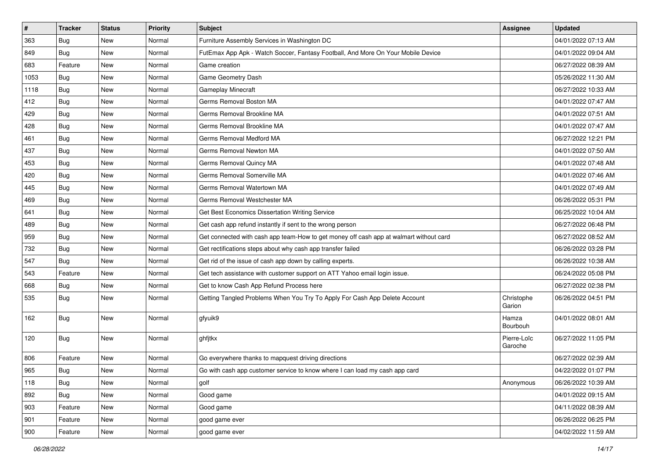| $\vert$ # | <b>Tracker</b> | <b>Status</b> | <b>Priority</b> | <b>Subject</b>                                                                         | Assignee               | <b>Updated</b>      |
|-----------|----------------|---------------|-----------------|----------------------------------------------------------------------------------------|------------------------|---------------------|
| 363       | <b>Bug</b>     | New           | Normal          | Furniture Assembly Services in Washington DC                                           |                        | 04/01/2022 07:13 AM |
| 849       | <b>Bug</b>     | <b>New</b>    | Normal          | FutEmax App Apk - Watch Soccer, Fantasy Football, And More On Your Mobile Device       |                        | 04/01/2022 09:04 AM |
| 683       | Feature        | New           | Normal          | Game creation                                                                          |                        | 06/27/2022 08:39 AM |
| 1053      | <b>Bug</b>     | New           | Normal          | Game Geometry Dash                                                                     |                        | 05/26/2022 11:30 AM |
| 1118      | Bug            | New           | Normal          | Gameplay Minecraft                                                                     |                        | 06/27/2022 10:33 AM |
| 412       | <b>Bug</b>     | New           | Normal          | Germs Removal Boston MA                                                                |                        | 04/01/2022 07:47 AM |
| 429       | Bug            | New           | Normal          | Germs Removal Brookline MA                                                             |                        | 04/01/2022 07:51 AM |
| 428       | <b>Bug</b>     | New           | Normal          | Germs Removal Brookline MA                                                             |                        | 04/01/2022 07:47 AM |
| 461       | <b>Bug</b>     | New           | Normal          | Germs Removal Medford MA                                                               |                        | 06/27/2022 12:21 PM |
| 437       | Bug            | New           | Normal          | Germs Removal Newton MA                                                                |                        | 04/01/2022 07:50 AM |
| 453       | <b>Bug</b>     | New           | Normal          | Germs Removal Quincy MA                                                                |                        | 04/01/2022 07:48 AM |
| 420       | <b>Bug</b>     | New           | Normal          | Germs Removal Somerville MA                                                            |                        | 04/01/2022 07:46 AM |
| 445       | Bug            | New           | Normal          | Germs Removal Watertown MA                                                             |                        | 04/01/2022 07:49 AM |
| 469       | <b>Bug</b>     | New           | Normal          | Germs Removal Westchester MA                                                           |                        | 06/26/2022 05:31 PM |
| 641       | <b>Bug</b>     | <b>New</b>    | Normal          | Get Best Economics Dissertation Writing Service                                        |                        | 06/25/2022 10:04 AM |
| 489       | Bug            | New           | Normal          | Get cash app refund instantly if sent to the wrong person                              |                        | 06/27/2022 06:48 PM |
| 959       | <b>Bug</b>     | New           | Normal          | Get connected with cash app team-How to get money off cash app at walmart without card |                        | 06/27/2022 08:52 AM |
| 732       | <b>Bug</b>     | New           | Normal          | Get rectifications steps about why cash app transfer failed                            |                        | 06/26/2022 03:28 PM |
| 547       | Bug            | New           | Normal          | Get rid of the issue of cash app down by calling experts.                              |                        | 06/26/2022 10:38 AM |
| 543       | Feature        | <b>New</b>    | Normal          | Get tech assistance with customer support on ATT Yahoo email login issue.              |                        | 06/24/2022 05:08 PM |
| 668       | <b>Bug</b>     | New           | Normal          | Get to know Cash App Refund Process here                                               |                        | 06/27/2022 02:38 PM |
| 535       | <b>Bug</b>     | New           | Normal          | Getting Tangled Problems When You Try To Apply For Cash App Delete Account             | Christophe<br>Garion   | 06/26/2022 04:51 PM |
| 162       | Bug            | New           | Normal          | gfyuik9                                                                                | Hamza<br>Bourbouh      | 04/01/2022 08:01 AM |
| 120       | Bug            | New           | Normal          | ghfjtkx                                                                                | Pierre-Loïc<br>Garoche | 06/27/2022 11:05 PM |
| 806       | Feature        | <b>New</b>    | Normal          | Go everywhere thanks to mapquest driving directions                                    |                        | 06/27/2022 02:39 AM |
| 965       | Bug            | New           | Normal          | Go with cash app customer service to know where I can load my cash app card            |                        | 04/22/2022 01:07 PM |
| 118       | Bug            | New           | Normal          | golf                                                                                   | Anonymous              | 06/26/2022 10:39 AM |
| 892       | Bug            | New           | Normal          | Good game                                                                              |                        | 04/01/2022 09:15 AM |
| 903       | Feature        | New           | Normal          | Good game                                                                              |                        | 04/11/2022 08:39 AM |
| 901       | Feature        | New           | Normal          | good game ever                                                                         |                        | 06/26/2022 06:25 PM |
| 900       | Feature        | New           | Normal          | good game ever                                                                         |                        | 04/02/2022 11:59 AM |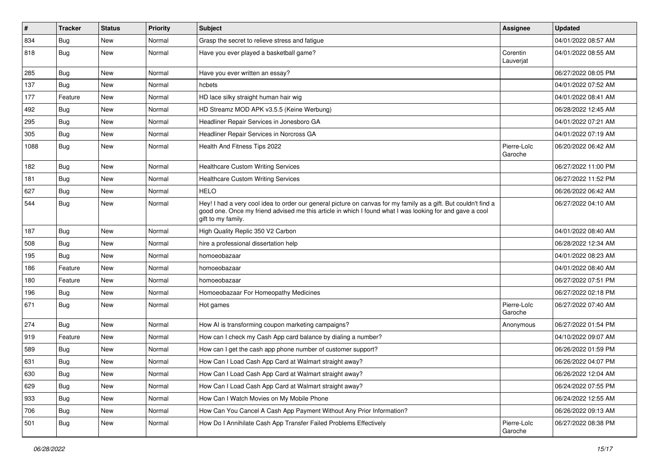| $\vert$ # | <b>Tracker</b> | <b>Status</b> | <b>Priority</b> | <b>Subject</b>                                                                                                                                                                                                                                    | Assignee               | <b>Updated</b>      |
|-----------|----------------|---------------|-----------------|---------------------------------------------------------------------------------------------------------------------------------------------------------------------------------------------------------------------------------------------------|------------------------|---------------------|
| 834       | Bug            | New           | Normal          | Grasp the secret to relieve stress and fatigue                                                                                                                                                                                                    |                        | 04/01/2022 08:57 AM |
| 818       | <b>Bug</b>     | <b>New</b>    | Normal          | Have you ever played a basketball game?                                                                                                                                                                                                           | Corentin<br>Lauverjat  | 04/01/2022 08:55 AM |
| 285       | <b>Bug</b>     | <b>New</b>    | Normal          | Have you ever written an essay?                                                                                                                                                                                                                   |                        | 06/27/2022 08:05 PM |
| 137       | Bug            | <b>New</b>    | Normal          | hcbets                                                                                                                                                                                                                                            |                        | 04/01/2022 07:52 AM |
| 177       | Feature        | <b>New</b>    | Normal          | HD lace silky straight human hair wig                                                                                                                                                                                                             |                        | 04/01/2022 08:41 AM |
| 492       | <b>Bug</b>     | <b>New</b>    | Normal          | HD Streamz MOD APK v3.5.5 (Keine Werbung)                                                                                                                                                                                                         |                        | 06/28/2022 12:45 AM |
| 295       | Bug            | New           | Normal          | Headliner Repair Services in Jonesboro GA                                                                                                                                                                                                         |                        | 04/01/2022 07:21 AM |
| 305       | <b>Bug</b>     | <b>New</b>    | Normal          | Headliner Repair Services in Norcross GA                                                                                                                                                                                                          |                        | 04/01/2022 07:19 AM |
| 1088      | <b>Bug</b>     | <b>New</b>    | Normal          | Health And Fitness Tips 2022                                                                                                                                                                                                                      | Pierre-Loïc<br>Garoche | 06/20/2022 06:42 AM |
| 182       | Bug            | <b>New</b>    | Normal          | <b>Healthcare Custom Writing Services</b>                                                                                                                                                                                                         |                        | 06/27/2022 11:00 PM |
| 181       | Bug            | <b>New</b>    | Normal          | <b>Healthcare Custom Writing Services</b>                                                                                                                                                                                                         |                        | 06/27/2022 11:52 PM |
| 627       | <b>Bug</b>     | New           | Normal          | <b>HELO</b>                                                                                                                                                                                                                                       |                        | 06/26/2022 06:42 AM |
| 544       | Bug            | <b>New</b>    | Normal          | Hey! I had a very cool idea to order our general picture on canvas for my family as a gift. But couldn't find a<br>good one. Once my friend advised me this article in which I found what I was looking for and gave a cool<br>gift to my family. |                        | 06/27/2022 04:10 AM |
| 187       | Bug            | <b>New</b>    | Normal          | High Quality Replic 350 V2 Carbon                                                                                                                                                                                                                 |                        | 04/01/2022 08:40 AM |
| 508       | Bug            | New           | Normal          | hire a professional dissertation help                                                                                                                                                                                                             |                        | 06/28/2022 12:34 AM |
| 195       | Bug            | <b>New</b>    | Normal          | homoeobazaar                                                                                                                                                                                                                                      |                        | 04/01/2022 08:23 AM |
| 186       | Feature        | <b>New</b>    | Normal          | homoeobazaar                                                                                                                                                                                                                                      |                        | 04/01/2022 08:40 AM |
| 180       | Feature        | New           | Normal          | homoeobazaar                                                                                                                                                                                                                                      |                        | 06/27/2022 07:51 PM |
| 196       | Bug            | <b>New</b>    | Normal          | Homoeobazaar For Homeopathy Medicines                                                                                                                                                                                                             |                        | 06/27/2022 02:18 PM |
| 671       | <b>Bug</b>     | New           | Normal          | Hot games                                                                                                                                                                                                                                         | Pierre-Loïc<br>Garoche | 06/27/2022 07:40 AM |
| 274       | Bug            | New           | Normal          | How AI is transforming coupon marketing campaigns?                                                                                                                                                                                                | Anonymous              | 06/27/2022 01:54 PM |
| 919       | Feature        | New           | Normal          | How can I check my Cash App card balance by dialing a number?                                                                                                                                                                                     |                        | 04/10/2022 09:07 AM |
| 589       | <b>Bug</b>     | <b>New</b>    | Normal          | How can I get the cash app phone number of customer support?                                                                                                                                                                                      |                        | 06/26/2022 01:59 PM |
| 631       | Bug            | New           | Normal          | How Can I Load Cash App Card at Walmart straight away?                                                                                                                                                                                            |                        | 06/26/2022 04:07 PM |
| 630       | Bug            | New           | Normal          | How Can I Load Cash App Card at Walmart straight away?                                                                                                                                                                                            |                        | 06/26/2022 12:04 AM |
| 629       | Bug            | New           | Normal          | How Can I Load Cash App Card at Walmart straight away?                                                                                                                                                                                            |                        | 06/24/2022 07:55 PM |
| 933       | Bug            | New           | Normal          | How Can I Watch Movies on My Mobile Phone                                                                                                                                                                                                         |                        | 06/24/2022 12:55 AM |
| 706       | Bug            | New           | Normal          | How Can You Cancel A Cash App Payment Without Any Prior Information?                                                                                                                                                                              |                        | 06/26/2022 09:13 AM |
| 501       | Bug            | New           | Normal          | How Do I Annihilate Cash App Transfer Failed Problems Effectively                                                                                                                                                                                 | Pierre-Loïc<br>Garoche | 06/27/2022 08:38 PM |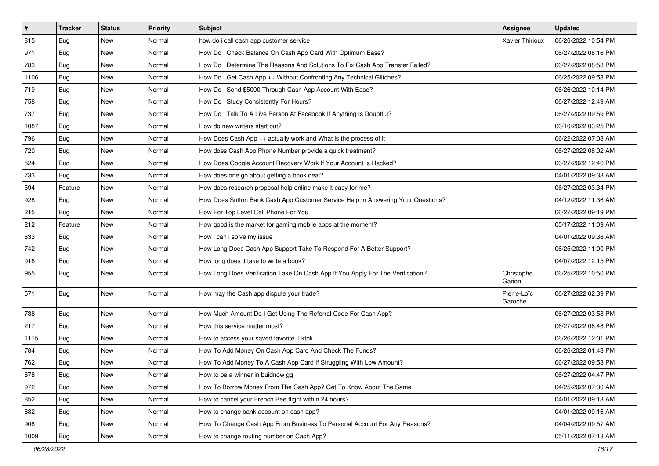| $\vert$ # | <b>Tracker</b> | <b>Status</b> | <b>Priority</b> | Subject                                                                          | <b>Assignee</b>        | <b>Updated</b>      |
|-----------|----------------|---------------|-----------------|----------------------------------------------------------------------------------|------------------------|---------------------|
| 815       | <b>Bug</b>     | New           | Normal          | how do i call cash app customer service                                          | <b>Xavier Thirioux</b> | 06/26/2022 10:54 PM |
| 971       | <b>Bug</b>     | New           | Normal          | How Do I Check Balance On Cash App Card With Optimum Ease?                       |                        | 06/27/2022 08:16 PM |
| 783       | Bug            | New           | Normal          | How Do I Determine The Reasons And Solutions To Fix Cash App Transfer Failed?    |                        | 06/27/2022 08:58 PM |
| 1106      | <b>Bug</b>     | New           | Normal          | How Do I Get Cash App ++ Without Confronting Any Technical Glitches?             |                        | 06/25/2022 09:53 PM |
| 719       | Bug            | New           | Normal          | How Do I Send \$5000 Through Cash App Account With Ease?                         |                        | 06/26/2022 10:14 PM |
| 758       | <b>Bug</b>     | New           | Normal          | How Do I Study Consistently For Hours?                                           |                        | 06/27/2022 12:49 AM |
| 737       | Bug            | New           | Normal          | How Do I Talk To A Live Person At Facebook If Anything Is Doubtful?              |                        | 06/27/2022 09:59 PM |
| 1087      | <b>Bug</b>     | New           | Normal          | How do new writers start out?                                                    |                        | 06/10/2022 03:25 PM |
| 796       | <b>Bug</b>     | New           | Normal          | How Does Cash App ++ actually work and What is the process of it                 |                        | 06/22/2022 07:03 AM |
| 720       | Bug            | New           | Normal          | How does Cash App Phone Number provide a quick treatment?                        |                        | 06/27/2022 08:02 AM |
| 524       | <b>Bug</b>     | New           | Normal          | How Does Google Account Recovery Work If Your Account Is Hacked?                 |                        | 06/27/2022 12:46 PM |
| 733       | <b>Bug</b>     | New           | Normal          | How does one go about getting a book deal?                                       |                        | 04/01/2022 09:33 AM |
| 594       | Feature        | New           | Normal          | How does research proposal help online make it easy for me?                      |                        | 06/27/2022 03:34 PM |
| 928       | Bug            | New           | Normal          | How Does Sutton Bank Cash App Customer Service Help In Answering Your Questions? |                        | 04/12/2022 11:36 AM |
| 215       | Bug            | New           | Normal          | How For Top Level Cell Phone For You                                             |                        | 06/27/2022 09:19 PM |
| 212       | Feature        | New           | Normal          | How good is the market for gaming mobile apps at the moment?                     |                        | 05/17/2022 11:09 AM |
| 633       | <b>Bug</b>     | New           | Normal          | How i can i solve my issue                                                       |                        | 04/01/2022 09:38 AM |
| 742       | Bug            | <b>New</b>    | Normal          | How Long Does Cash App Support Take To Respond For A Better Support?             |                        | 06/25/2022 11:00 PM |
| 916       | <b>Bug</b>     | New           | Normal          | How long does it take to write a book?                                           |                        | 04/07/2022 12:15 PM |
| 955       | Bug            | New           | Normal          | How Long Does Verification Take On Cash App If You Apply For The Verification?   | Christophe<br>Garion   | 06/25/2022 10:50 PM |
| 571       | Bug            | New           | Normal          | How may the Cash app dispute your trade?                                         | Pierre-Loïc<br>Garoche | 06/27/2022 02:39 PM |
| 738       | Bug            | New           | Normal          | How Much Amount Do I Get Using The Referral Code For Cash App?                   |                        | 06/27/2022 03:58 PM |
| 217       | <b>Bug</b>     | New           | Normal          | How this service matter most?                                                    |                        | 06/27/2022 06:48 PM |
| 1115      | Bug            | New           | Normal          | How to access your saved favorite Tiktok                                         |                        | 06/26/2022 12:01 PM |
| 784       | <b>Bug</b>     | New           | Normal          | How To Add Money On Cash App Card And Check The Funds?                           |                        | 06/26/2022 01:43 PM |
| 762       | Bug            | New           | Normal          | How To Add Money To A Cash App Card If Struggling With Low Amount?               |                        | 06/27/2022 09:58 PM |
| 678       | Bug            | New           | Normal          | How to be a winner in buidnow gg                                                 |                        | 06/27/2022 04:47 PM |
| 972       | Bug            | New           | Normal          | How To Borrow Money From The Cash App? Get To Know About The Same                |                        | 04/25/2022 07:30 AM |
| 852       | <b>Bug</b>     | New           | Normal          | How to cancel your French Bee flight within 24 hours?                            |                        | 04/01/2022 09:13 AM |
| 882       | <b>Bug</b>     | New           | Normal          | How to change bank account on cash app?                                          |                        | 04/01/2022 09:16 AM |
| 906       | Bug            | New           | Normal          | How To Change Cash App From Business To Personal Account For Any Reasons?        |                        | 04/04/2022 09:57 AM |
| 1009      | <b>Bug</b>     | New           | Normal          | How to change routing number on Cash App?                                        |                        | 05/11/2022 07:13 AM |